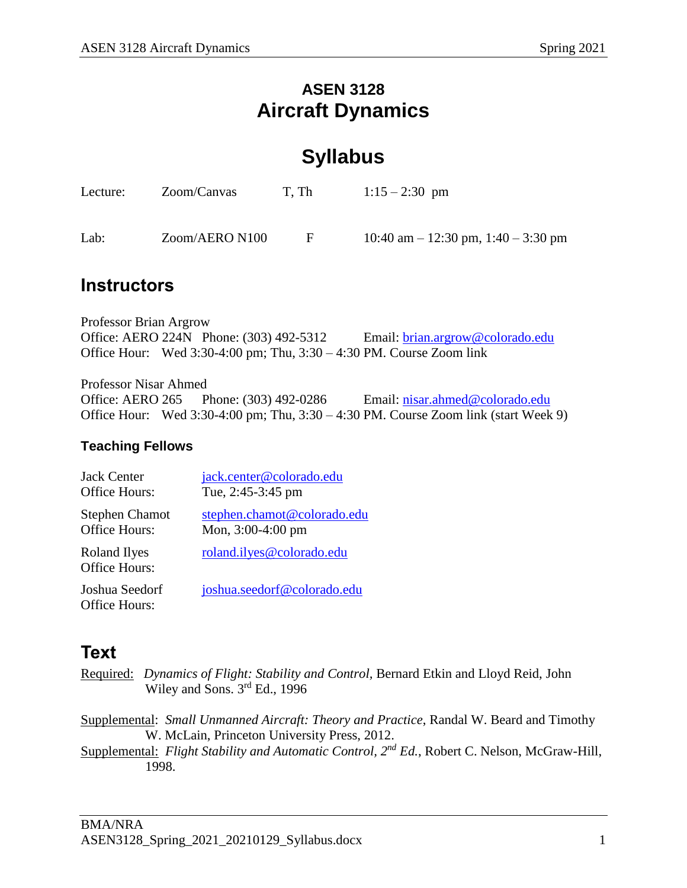### **ASEN 3128 Aircraft Dynamics**

## **Syllabus**

| Lecture: | Zoom/Canvas    | T. Th    | $1:15 - 2:30$ pm                        |
|----------|----------------|----------|-----------------------------------------|
| Lab:     | Zoom/AERO N100 | <b>E</b> | 10:40 am $-$ 12:30 pm, 1:40 $-$ 3:30 pm |

### **Instructors**

Professor Brian Argrow Office: AERO 224N Phone: (303) 492-5312 Email: [brian.argrow@colorado.edu](mailto:brian.argrow@colorado.edu) Office Hour: Wed 3:30-4:00 pm; Thu, 3:30 – 4:30 PM. Course Zoom link

Professor Nisar Ahmed Office: AERO 265 Phone: (303) 492-0286 Email: [nisar.ahmed@colorado.edu](mailto:nisar.ahmed@colorado.edu) Office Hour: Wed 3:30-4:00 pm; Thu, 3:30 – 4:30 PM. Course Zoom link (start Week 9)

### **Teaching Fellows**

| <b>Jack Center</b>                     | jack.center@colorado.edu    |
|----------------------------------------|-----------------------------|
| <b>Office Hours:</b>                   | Tue, 2:45-3:45 pm           |
| <b>Stephen Chamot</b>                  | stephen.chamot@colorado.edu |
| Office Hours:                          | Mon, $3:00-4:00$ pm         |
| Roland Ilyes<br><b>Office Hours:</b>   | roland.ilyes@colorado.edu   |
| Joshua Seedorf<br><b>Office Hours:</b> | joshua.seedorf@colorado.edu |

## **Text**

- Required: *Dynamics of Flight: Stability and Control,* Bernard Etkin and Lloyd Reid, John Wiley and Sons. 3<sup>rd</sup> Ed., 1996
- Supplemental: *Small Unmanned Aircraft: Theory and Practice*, Randal W. Beard and Timothy W. McLain, Princeton University Press, 2012.
- Supplemental: *Flight Stability and Automatic Control, 2nd Ed.*, Robert C. Nelson, McGraw-Hill, 1998.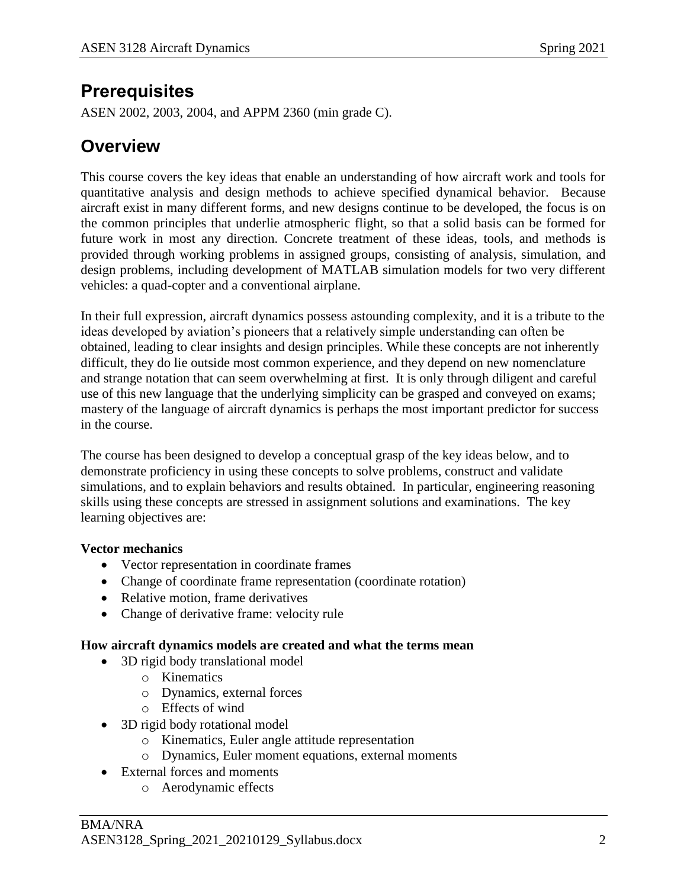### **Prerequisites**

ASEN 2002, 2003, 2004, and APPM 2360 (min grade C).

### **Overview**

This course covers the key ideas that enable an understanding of how aircraft work and tools for quantitative analysis and design methods to achieve specified dynamical behavior. Because aircraft exist in many different forms, and new designs continue to be developed, the focus is on the common principles that underlie atmospheric flight, so that a solid basis can be formed for future work in most any direction. Concrete treatment of these ideas, tools, and methods is provided through working problems in assigned groups, consisting of analysis, simulation, and design problems, including development of MATLAB simulation models for two very different vehicles: a quad-copter and a conventional airplane.

In their full expression, aircraft dynamics possess astounding complexity, and it is a tribute to the ideas developed by aviation's pioneers that a relatively simple understanding can often be obtained, leading to clear insights and design principles. While these concepts are not inherently difficult, they do lie outside most common experience, and they depend on new nomenclature and strange notation that can seem overwhelming at first. It is only through diligent and careful use of this new language that the underlying simplicity can be grasped and conveyed on exams; mastery of the language of aircraft dynamics is perhaps the most important predictor for success in the course.

The course has been designed to develop a conceptual grasp of the key ideas below, and to demonstrate proficiency in using these concepts to solve problems, construct and validate simulations, and to explain behaviors and results obtained. In particular, engineering reasoning skills using these concepts are stressed in assignment solutions and examinations. The key learning objectives are:

### **Vector mechanics**

- Vector representation in coordinate frames
- Change of coordinate frame representation (coordinate rotation)
- Relative motion, frame derivatives
- Change of derivative frame: velocity rule

#### **How aircraft dynamics models are created and what the terms mean**

- 3D rigid body translational model
	- o Kinematics
	- o Dynamics, external forces
	- o Effects of wind
- 3D rigid body rotational model
	- o Kinematics, Euler angle attitude representation
	- o Dynamics, Euler moment equations, external moments
- External forces and moments
	- o Aerodynamic effects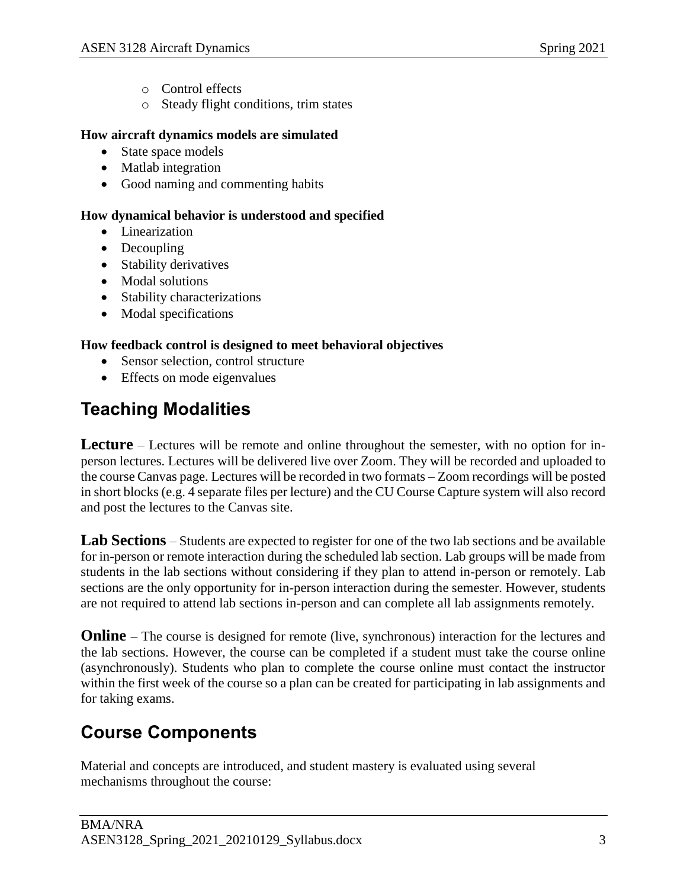- o Control effects
- o Steady flight conditions, trim states

#### **How aircraft dynamics models are simulated**

- State space models
- Matlab integration
- Good naming and commenting habits

#### **How dynamical behavior is understood and specified**

- Linearization
- Decoupling
- Stability derivatives
- Modal solutions
- Stability characterizations
- Modal specifications

#### **How feedback control is designed to meet behavioral objectives**

- Sensor selection, control structure
- Effects on mode eigenvalues

### **Teaching Modalities**

**Lecture** – Lectures will be remote and online throughout the semester, with no option for inperson lectures. Lectures will be delivered live over Zoom. They will be recorded and uploaded to the course Canvas page. Lectures will be recorded in two formats – Zoom recordings will be posted in short blocks (e.g. 4 separate files per lecture) and the CU Course Capture system will also record and post the lectures to the Canvas site.

**Lab Sections** – Students are expected to register for one of the two lab sections and be available for in-person or remote interaction during the scheduled lab section. Lab groups will be made from students in the lab sections without considering if they plan to attend in-person or remotely. Lab sections are the only opportunity for in-person interaction during the semester. However, students are not required to attend lab sections in-person and can complete all lab assignments remotely.

**Online** – The course is designed for remote (live, synchronous) interaction for the lectures and the lab sections. However, the course can be completed if a student must take the course online (asynchronously). Students who plan to complete the course online must contact the instructor within the first week of the course so a plan can be created for participating in lab assignments and for taking exams.

## **Course Components**

Material and concepts are introduced, and student mastery is evaluated using several mechanisms throughout the course: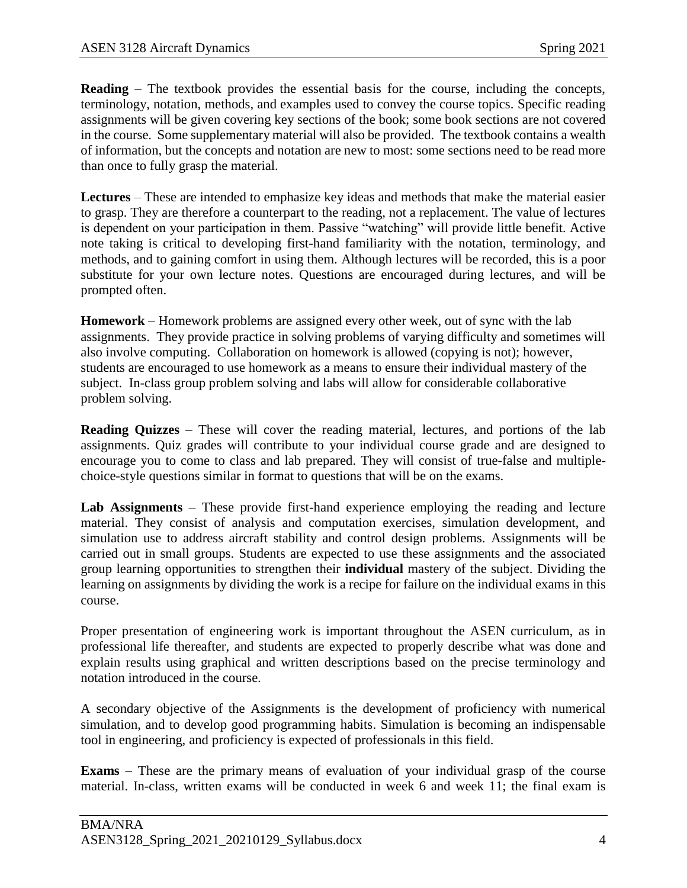**Reading** – The textbook provides the essential basis for the course, including the concepts, terminology, notation, methods, and examples used to convey the course topics. Specific reading assignments will be given covering key sections of the book; some book sections are not covered in the course. Some supplementary material will also be provided. The textbook contains a wealth of information, but the concepts and notation are new to most: some sections need to be read more than once to fully grasp the material.

**Lectures** – These are intended to emphasize key ideas and methods that make the material easier to grasp. They are therefore a counterpart to the reading, not a replacement. The value of lectures is dependent on your participation in them. Passive "watching" will provide little benefit. Active note taking is critical to developing first-hand familiarity with the notation, terminology, and methods, and to gaining comfort in using them. Although lectures will be recorded, this is a poor substitute for your own lecture notes. Questions are encouraged during lectures, and will be prompted often.

**Homework** – Homework problems are assigned every other week, out of sync with the lab assignments. They provide practice in solving problems of varying difficulty and sometimes will also involve computing. Collaboration on homework is allowed (copying is not); however, students are encouraged to use homework as a means to ensure their individual mastery of the subject. In-class group problem solving and labs will allow for considerable collaborative problem solving.

**Reading Quizzes** – These will cover the reading material, lectures, and portions of the lab assignments. Quiz grades will contribute to your individual course grade and are designed to encourage you to come to class and lab prepared. They will consist of true-false and multiplechoice-style questions similar in format to questions that will be on the exams.

**Lab Assignments** – These provide first-hand experience employing the reading and lecture material. They consist of analysis and computation exercises, simulation development, and simulation use to address aircraft stability and control design problems. Assignments will be carried out in small groups. Students are expected to use these assignments and the associated group learning opportunities to strengthen their **individual** mastery of the subject. Dividing the learning on assignments by dividing the work is a recipe for failure on the individual exams in this course.

Proper presentation of engineering work is important throughout the ASEN curriculum, as in professional life thereafter, and students are expected to properly describe what was done and explain results using graphical and written descriptions based on the precise terminology and notation introduced in the course.

A secondary objective of the Assignments is the development of proficiency with numerical simulation, and to develop good programming habits. Simulation is becoming an indispensable tool in engineering, and proficiency is expected of professionals in this field.

**Exams** – These are the primary means of evaluation of your individual grasp of the course material. In-class, written exams will be conducted in week 6 and week 11; the final exam is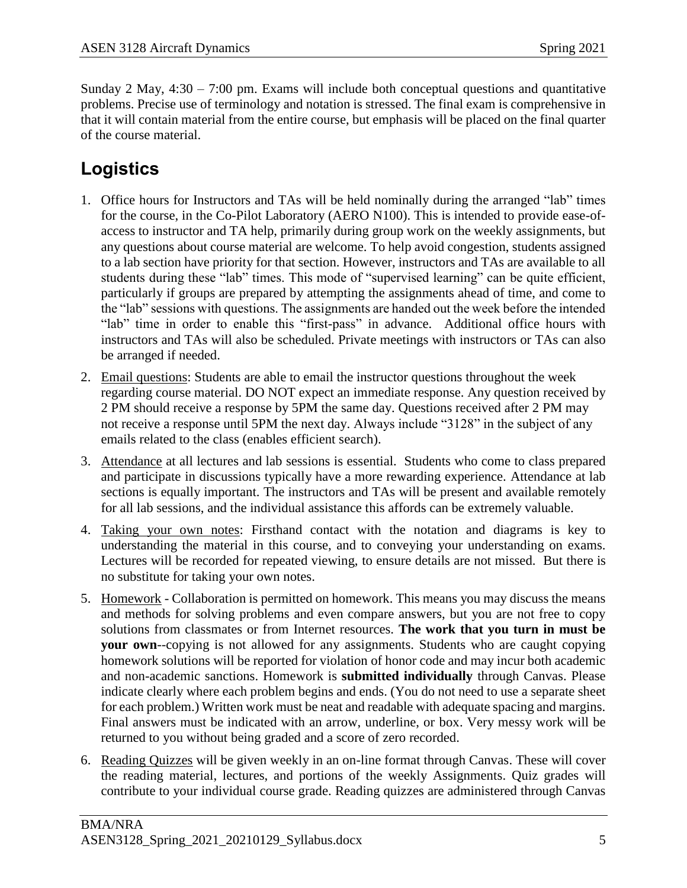Sunday 2 May,  $4:30 - 7:00$  pm. Exams will include both conceptual questions and quantitative problems. Precise use of terminology and notation is stressed. The final exam is comprehensive in that it will contain material from the entire course, but emphasis will be placed on the final quarter of the course material.

## **Logistics**

- 1. Office hours for Instructors and TAs will be held nominally during the arranged "lab" times for the course, in the Co-Pilot Laboratory (AERO N100). This is intended to provide ease-ofaccess to instructor and TA help, primarily during group work on the weekly assignments, but any questions about course material are welcome. To help avoid congestion, students assigned to a lab section have priority for that section. However, instructors and TAs are available to all students during these "lab" times. This mode of "supervised learning" can be quite efficient, particularly if groups are prepared by attempting the assignments ahead of time, and come to the "lab" sessions with questions. The assignments are handed out the week before the intended "lab" time in order to enable this "first-pass" in advance. Additional office hours with instructors and TAs will also be scheduled. Private meetings with instructors or TAs can also be arranged if needed.
- 2. Email questions: Students are able to email the instructor questions throughout the week regarding course material. DO NOT expect an immediate response. Any question received by 2 PM should receive a response by 5PM the same day. Questions received after 2 PM may not receive a response until 5PM the next day. Always include "3128" in the subject of any emails related to the class (enables efficient search).
- 3. Attendance at all lectures and lab sessions is essential. Students who come to class prepared and participate in discussions typically have a more rewarding experience. Attendance at lab sections is equally important. The instructors and TAs will be present and available remotely for all lab sessions, and the individual assistance this affords can be extremely valuable.
- 4. Taking your own notes: Firsthand contact with the notation and diagrams is key to understanding the material in this course, and to conveying your understanding on exams. Lectures will be recorded for repeated viewing, to ensure details are not missed. But there is no substitute for taking your own notes.
- 5. Homework Collaboration is permitted on homework. This means you may discuss the means and methods for solving problems and even compare answers, but you are not free to copy solutions from classmates or from Internet resources. **The work that you turn in must be your own**--copying is not allowed for any assignments. Students who are caught copying homework solutions will be reported for violation of honor code and may incur both academic and non-academic sanctions. Homework is **submitted individually** through Canvas. Please indicate clearly where each problem begins and ends. (You do not need to use a separate sheet for each problem.) Written work must be neat and readable with adequate spacing and margins. Final answers must be indicated with an arrow, underline, or box. Very messy work will be returned to you without being graded and a score of zero recorded.
- 6. Reading Quizzes will be given weekly in an on-line format through Canvas. These will cover the reading material, lectures, and portions of the weekly Assignments. Quiz grades will contribute to your individual course grade. Reading quizzes are administered through Canvas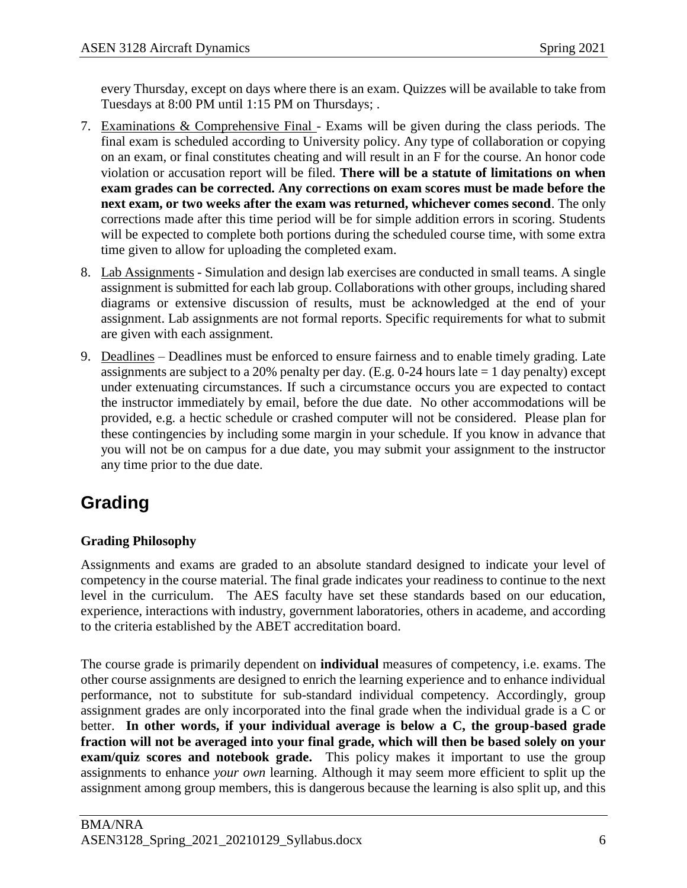every Thursday, except on days where there is an exam. Quizzes will be available to take from Tuesdays at 8:00 PM until 1:15 PM on Thursdays; .

- 7. Examinations & Comprehensive Final Exams will be given during the class periods. The final exam is scheduled according to University policy. Any type of collaboration or copying on an exam, or final constitutes cheating and will result in an F for the course. An honor code violation or accusation report will be filed. **There will be a statute of limitations on when exam grades can be corrected. Any corrections on exam scores must be made before the next exam, or two weeks after the exam was returned, whichever comes second**. The only corrections made after this time period will be for simple addition errors in scoring. Students will be expected to complete both portions during the scheduled course time, with some extra time given to allow for uploading the completed exam.
- 8. Lab Assignments Simulation and design lab exercises are conducted in small teams. A single assignment is submitted for each lab group. Collaborations with other groups, including shared diagrams or extensive discussion of results, must be acknowledged at the end of your assignment. Lab assignments are not formal reports. Specific requirements for what to submit are given with each assignment.
- 9. Deadlines Deadlines must be enforced to ensure fairness and to enable timely grading. Late assignments are subject to a 20% penalty per day. (E.g. 0-24 hours late  $= 1$  day penalty) except under extenuating circumstances. If such a circumstance occurs you are expected to contact the instructor immediately by email, before the due date. No other accommodations will be provided, e.g. a hectic schedule or crashed computer will not be considered. Please plan for these contingencies by including some margin in your schedule. If you know in advance that you will not be on campus for a due date, you may submit your assignment to the instructor any time prior to the due date.

# **Grading**

### **Grading Philosophy**

Assignments and exams are graded to an absolute standard designed to indicate your level of competency in the course material. The final grade indicates your readiness to continue to the next level in the curriculum. The AES faculty have set these standards based on our education, experience, interactions with industry, government laboratories, others in academe, and according to the criteria established by the ABET accreditation board.

The course grade is primarily dependent on **individual** measures of competency, i.e. exams. The other course assignments are designed to enrich the learning experience and to enhance individual performance, not to substitute for sub-standard individual competency. Accordingly, group assignment grades are only incorporated into the final grade when the individual grade is a C or better. **In other words, if your individual average is below a C, the group-based grade fraction will not be averaged into your final grade, which will then be based solely on your exam/quiz scores and notebook grade.** This policy makes it important to use the group assignments to enhance *your own* learning. Although it may seem more efficient to split up the assignment among group members, this is dangerous because the learning is also split up, and this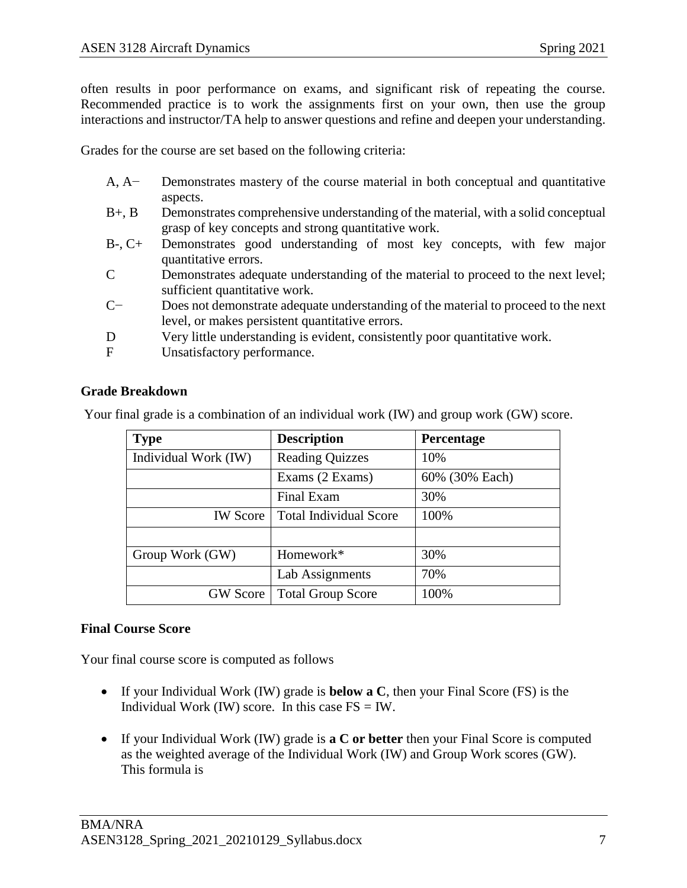often results in poor performance on exams, and significant risk of repeating the course. Recommended practice is to work the assignments first on your own, then use the group interactions and instructor/TA help to answer questions and refine and deepen your understanding.

Grades for the course are set based on the following criteria:

- A, A− Demonstrates mastery of the course material in both conceptual and quantitative aspects.
- B+, B Demonstrates comprehensive understanding of the material, with a solid conceptual grasp of key concepts and strong quantitative work.
- B-, C+ Demonstrates good understanding of most key concepts, with few major quantitative errors.
- C Demonstrates adequate understanding of the material to proceed to the next level; sufficient quantitative work.
- C− Does not demonstrate adequate understanding of the material to proceed to the next level, or makes persistent quantitative errors.
- D Very little understanding is evident, consistently poor quantitative work.
- F Unsatisfactory performance.

#### **Grade Breakdown**

Your final grade is a combination of an individual work (IW) and group work (GW) score.

| <b>Type</b>          | <b>Description</b>            | <b>Percentage</b> |
|----------------------|-------------------------------|-------------------|
| Individual Work (IW) | <b>Reading Quizzes</b>        | 10%               |
|                      | Exams (2 Exams)               | 60% (30% Each)    |
|                      | <b>Final Exam</b>             | 30%               |
| <b>IW</b> Score      | <b>Total Individual Score</b> | 100%              |
|                      |                               |                   |
| Group Work (GW)      | Homework*                     | 30%               |
|                      | Lab Assignments               | 70%               |
| <b>GW</b> Score      | <b>Total Group Score</b>      | 100%              |

#### **Final Course Score**

Your final course score is computed as follows

- If your Individual Work (IW) grade is **below a C**, then your Final Score (FS) is the Individual Work (IW) score. In this case  $FS = IW$ .
- If your Individual Work (IW) grade is **a C or better** then your Final Score is computed as the weighted average of the Individual Work (IW) and Group Work scores (GW). This formula is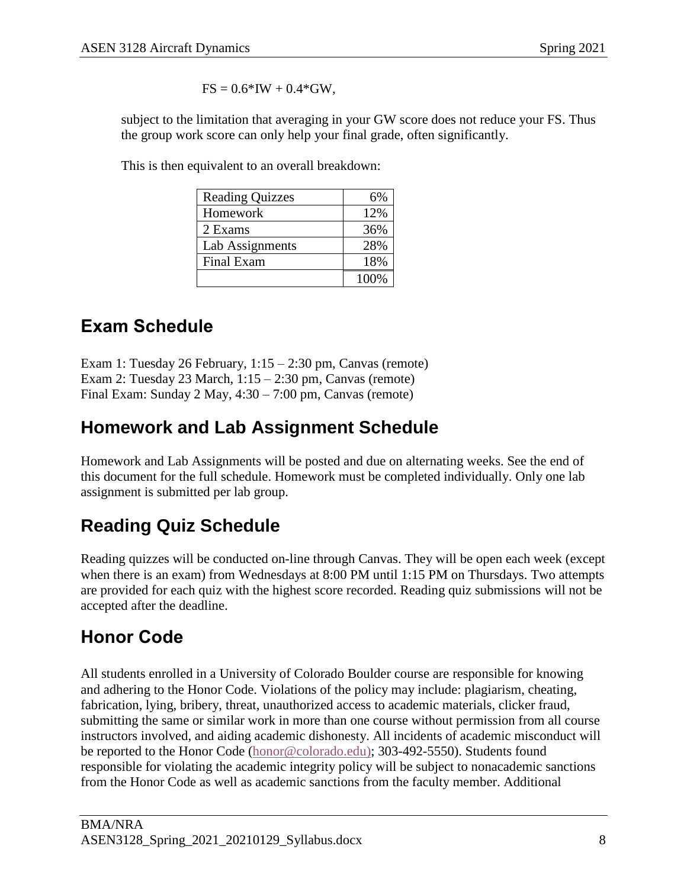$FS = 0.6*IW + 0.4*GW$ ,

subject to the limitation that averaging in your GW score does not reduce your FS. Thus the group work score can only help your final grade, often significantly.

This is then equivalent to an overall breakdown:

| <b>Reading Quizzes</b> | 6%   |
|------------------------|------|
| Homework               | 12%  |
| 2 Exams                | 36%  |
| Lab Assignments        | 28%  |
| Final Exam             | 18%  |
|                        | 100% |

## **Exam Schedule**

Exam 1: Tuesday 26 February, 1:15 – 2:30 pm, Canvas (remote) Exam 2: Tuesday 23 March, 1:15 – 2:30 pm, Canvas (remote) Final Exam: Sunday 2 May, 4:30 – 7:00 pm, Canvas (remote)

## **Homework and Lab Assignment Schedule**

Homework and Lab Assignments will be posted and due on alternating weeks. See the end of this document for the full schedule. Homework must be completed individually. Only one lab assignment is submitted per lab group.

# **Reading Quiz Schedule**

Reading quizzes will be conducted on-line through Canvas. They will be open each week (except when there is an exam) from Wednesdays at 8:00 PM until 1:15 PM on Thursdays. Two attempts are provided for each quiz with the highest score recorded. Reading quiz submissions will not be accepted after the deadline.

## **Honor Code**

All students enrolled in a University of Colorado Boulder course are responsible for knowing and adhering to the Honor Code. Violations of the policy may include: plagiarism, cheating, fabrication, lying, bribery, threat, unauthorized access to academic materials, clicker fraud, submitting the same or similar work in more than one course without permission from all course instructors involved, and aiding academic dishonesty. All incidents of academic misconduct will be reported to the Honor Code [\(honor@colorado.edu\)](mailto:honor@colorado.edu); 303-492-5550). Students found responsible for violating the academic integrity policy will be subject to nonacademic sanctions from the Honor Code as well as academic sanctions from the faculty member. Additional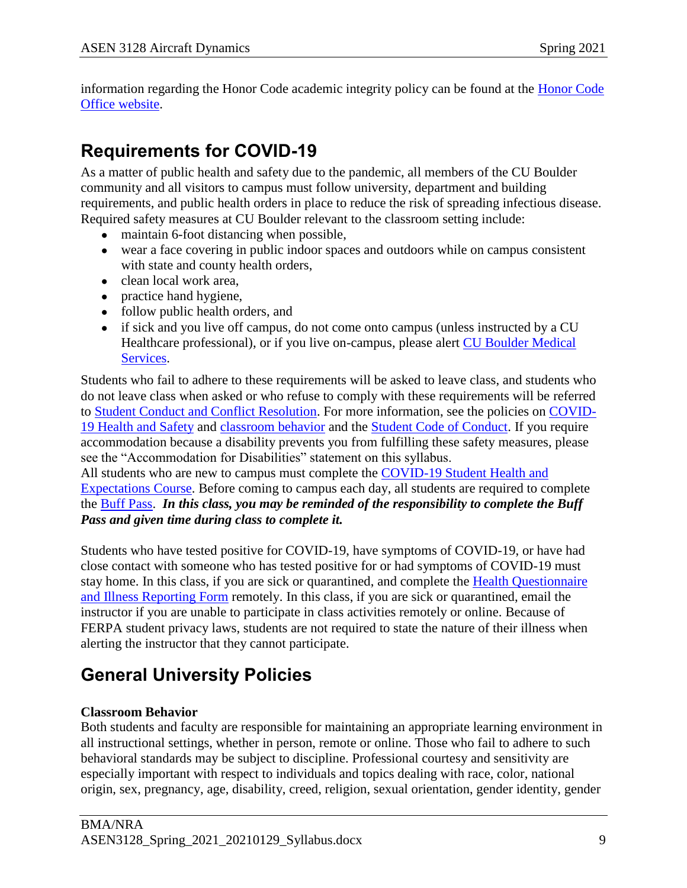information regarding the Honor Code academic integrity policy can be found at the [Honor Code](https://www.colorado.edu/osccr/honor-code)  [Office website.](https://www.colorado.edu/osccr/honor-code)

## **Requirements for COVID-19**

As a matter of public health and safety due to the pandemic, all members of the CU Boulder community and all visitors to campus must follow university, department and building requirements, and public health orders in place to reduce the risk of spreading infectious disease. Required safety measures at CU Boulder relevant to the classroom setting include:

- maintain 6-foot distancing when possible,
- wear a face covering in public indoor spaces and outdoors while on campus consistent with state and county health orders,
- clean local work area,
- practice hand hygiene,
- follow public health orders, and
- if sick and you live off campus, do not come onto campus (unless instructed by a CU Healthcare professional), or if you live on-campus, please alert [CU Boulder Medical](https://www.colorado.edu/healthcenter/coronavirus-updates/symptoms-and-what-do-if-you-feel-sick)  [Services.](https://www.colorado.edu/healthcenter/coronavirus-updates/symptoms-and-what-do-if-you-feel-sick)

Students who fail to adhere to these requirements will be asked to leave class, and students who do not leave class when asked or who refuse to comply with these requirements will be referred to [Student Conduct and Conflict Resolution.](https://www.colorado.edu/sccr/) For more information, see the policies on [COVID-](https://www.colorado.edu/policies/covid-19-health-and-safety-policy)[19 Health and Safety](https://www.colorado.edu/policies/covid-19-health-and-safety-policy) and [classroom behavior](http://www.colorado.edu/policies/student-classroom-and-course-related-behavior) and the [Student Code of Conduct.](http://www.colorado.edu/osccr/) If you require accommodation because a disability prevents you from fulfilling these safety measures, please see the "Accommodation for Disabilities" statement on this syllabus.

All students who are new to campus must complete the [COVID-19 Student Health and](https://www.colorado.edu/protect-our-herd/how#anchor1)  [Expectations Course.](https://www.colorado.edu/protect-our-herd/how#anchor1) Before coming to campus each day, all students are required to complete the [Buff Pass.](https://pass.colorado.edu/login) *In this class, you may be reminded of the responsibility to complete the Buff Pass and given time during class to complete it.*

Students who have tested positive for COVID-19, have symptoms of COVID-19, or have had close contact with someone who has tested positive for or had symptoms of COVID-19 must stay home. In this class, if you are sick or quarantined, and complete the Health [Questionnaire](https://www.colorado.edu/protect-our-herd/daily-health-form)  [and Illness Reporting Form](https://www.colorado.edu/protect-our-herd/daily-health-form) remotely. In this class, if you are sick or quarantined, email the instructor if you are unable to participate in class activities remotely or online. Because of FERPA student privacy laws, students are not required to state the nature of their illness when alerting the instructor that they cannot participate.

## **General University Policies**

#### **Classroom Behavior**

Both students and faculty are responsible for maintaining an appropriate learning environment in all instructional settings, whether in person, remote or online. Those who fail to adhere to such behavioral standards may be subject to discipline. Professional courtesy and sensitivity are especially important with respect to individuals and topics dealing with race, color, national origin, sex, pregnancy, age, disability, creed, religion, sexual orientation, gender identity, gender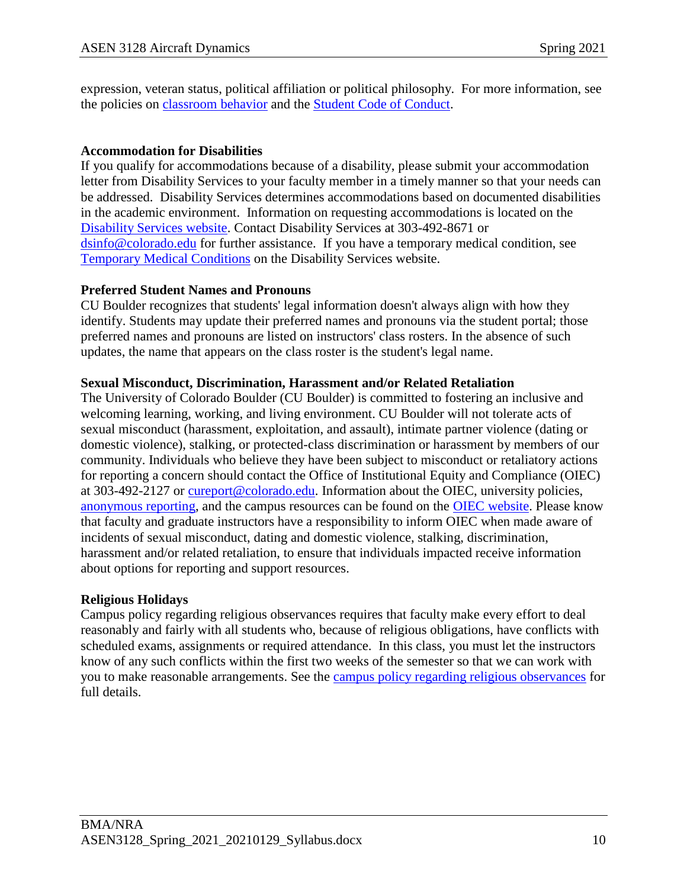expression, veteran status, political affiliation or political philosophy. For more information, see the policies on [classroom behavior](http://www.colorado.edu/policies/student-classroom-and-course-related-behavior) and the [Student Code of Conduct.](https://www.colorado.edu/sccr/sites/default/files/attached-files/2020-2021_student_code_of_conduct_0.pdf)

#### **Accommodation for Disabilities**

If you qualify for accommodations because of a disability, please submit your accommodation letter from Disability Services to your faculty member in a timely manner so that your needs can be addressed. Disability Services determines accommodations based on documented disabilities in the academic environment. Information on requesting accommodations is located on the [Disability Services website.](https://www.colorado.edu/disabilityservices/) Contact Disability Services at 303-492-8671 or [dsinfo@colorado.edu](mailto:dsinfo@colorado.edu) for further assistance. If you have a temporary medical condition, see [Temporary Medical Conditions](http://www.colorado.edu/disabilityservices/students/temporary-medical-conditions) on the Disability Services website.

#### **Preferred Student Names and Pronouns**

CU Boulder recognizes that students' legal information doesn't always align with how they identify. Students may update their preferred names and pronouns via the student portal; those preferred names and pronouns are listed on instructors' class rosters. In the absence of such updates, the name that appears on the class roster is the student's legal name.

#### **Sexual Misconduct, Discrimination, Harassment and/or Related Retaliation**

The University of Colorado Boulder (CU Boulder) is committed to fostering an inclusive and welcoming learning, working, and living environment. CU Boulder will not tolerate acts of sexual misconduct (harassment, exploitation, and assault), intimate partner violence (dating or domestic violence), stalking, or protected-class discrimination or harassment by members of our community. Individuals who believe they have been subject to misconduct or retaliatory actions for reporting a concern should contact the Office of Institutional Equity and Compliance (OIEC) at 303-492-2127 or [cureport@colorado.edu.](mailto:cureport@colorado.edu) Information about the OIEC, university policies, [anonymous reporting,](https://cuboulder.qualtrics.com/jfe/form/SV_0PnqVK4kkIJIZnf) and the campus resources can be found on the [OIEC website.](http://www.colorado.edu/institutionalequity/) Please know that faculty and graduate instructors have a responsibility to inform OIEC when made aware of incidents of sexual misconduct, dating and domestic violence, stalking, discrimination, harassment and/or related retaliation, to ensure that individuals impacted receive information about options for reporting and support resources.

#### **Religious Holidays**

Campus policy regarding religious observances requires that faculty make every effort to deal reasonably and fairly with all students who, because of religious obligations, have conflicts with scheduled exams, assignments or required attendance. In this class, you must let the instructors know of any such conflicts within the first two weeks of the semester so that we can work with you to make reasonable arrangements. See the [campus policy regarding religious observances](http://www.colorado.edu/policies/observance-religious-holidays-and-absences-classes-andor-exams) for full details.